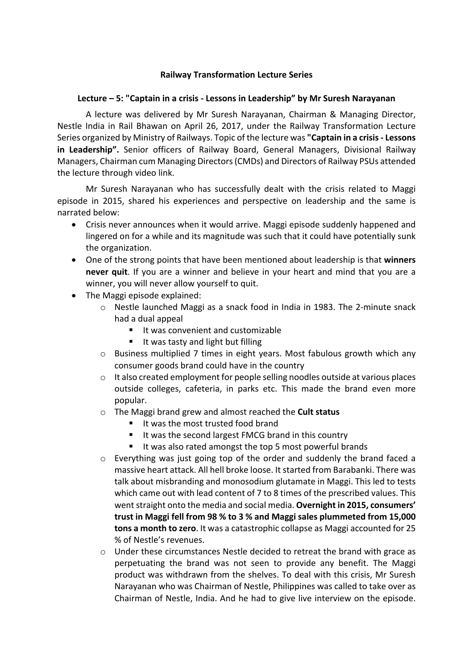### **Railway Transformation Lecture Series**

### Lecture – 5: "Captain in a crisis - Lessons in Leadership" by Mr Suresh Narayanan

A lecture was delivered by Mr Suresh Narayanan, Chairman & Managing Director, Nestle India in Rail Bhawan on April 26, 2017, under the Railway Transformation Lecture Series organized by Ministry of Railways. Topic of the lecture was "Captain in a crisis - Lessons **in Leadership".** Senior officers of Railway Board, General Managers, Divisional Railway Managers, Chairman cum Managing Directors (CMDs) and Directors of Railway PSUs attended the lecture through video link.

Mr Suresh Narayanan who has successfully dealt with the crisis related to Maggi episode in 2015, shared his experiences and perspective on leadership and the same is narrated below:

- Crisis never announces when it would arrive. Maggi episode suddenly happened and lingered on for a while and its magnitude was such that it could have potentially sunk the organization.
- One of the strong points that have been mentioned about leadership is that **winners never quit**. If you are a winner and believe in your heart and mind that you are a winner, you will never allow yourself to quit.
- $\bullet$  The Maggi episode explained:
	- $\circ$  Nestle launched Maggi as a snack food in India in 1983. The 2-minute snack had a dual appeal
		- It was convenient and customizable
		- $\blacksquare$  It was tasty and light but filling
	- $\circ$  Business multiplied 7 times in eight years. Most fabulous growth which any consumer goods brand could have in the country
	- $\circ$  It also created employment for people selling noodles outside at various places outside colleges, cafeteria, in parks etc. This made the brand even more popular.
	- o The Maggi brand grew and almost reached the **Cult status** 
		- It was the most trusted food brand
		- It was the second largest FMCG brand in this country
		- It was also rated amongst the top 5 most powerful brands
	- $\circ$  Everything was just going top of the order and suddenly the brand faced a massive heart attack. All hell broke loose. It started from Barabanki. There was talk about misbranding and monosodium glutamate in Maggi. This led to tests which came out with lead content of 7 to 8 times of the prescribed values. This went straight onto the media and social media. Overnight in 2015, consumers' trust in Maggi fell from 98 % to 3 % and Maggi sales plummeted from 15,000 **tons a month to zero**. It was a catastrophic collapse as Maggi accounted for 25 % of Nestle's revenues.
	- $\circ$  Under these circumstances Nestle decided to retreat the brand with grace as perpetuating the brand was not seen to provide any benefit. The Maggi product was withdrawn from the shelves. To deal with this crisis, Mr Suresh Narayanan who was Chairman of Nestle, Philippines was called to take over as Chairman of Nestle, India. And he had to give live interview on the episode.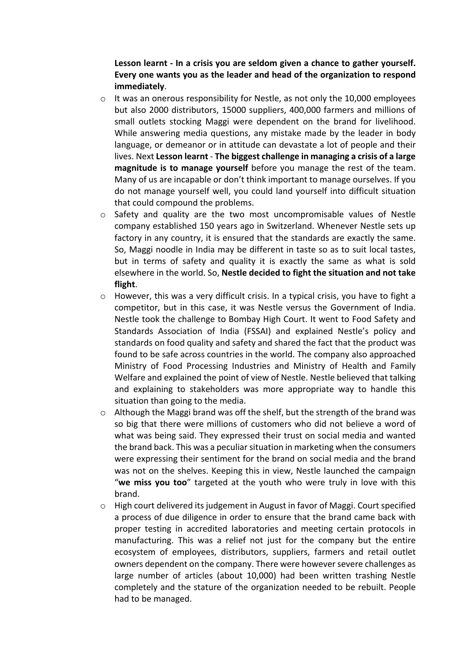## Lesson learnt - In a crisis you are seldom given a chance to gather yourself. Every one wants you as the leader and head of the organization to respond **immediately**.

- $\circ$  It was an onerous responsibility for Nestle, as not only the 10,000 employees but also 2000 distributors, 15000 suppliers, 400,000 farmers and millions of small outlets stocking Maggi were dependent on the brand for livelihood. While answering media questions, any mistake made by the leader in body language, or demeanor or in attitude can devastate a lot of people and their lives. Next Lesson learnt - The biggest challenge in managing a crisis of a large **magnitude is to manage yourself** before you manage the rest of the team. Many of us are incapable or don't think important to manage ourselves. If you do not manage yourself well, you could land yourself into difficult situation that could compound the problems.
- $\circ$  Safety and quality are the two most uncompromisable values of Nestle company established 150 years ago in Switzerland. Whenever Nestle sets up factory in any country, it is ensured that the standards are exactly the same. So, Maggi noodle in India may be different in taste so as to suit local tastes, but in terms of safety and quality it is exactly the same as what is sold elsewhere in the world. So, Nestle decided to fight the situation and not take **flight**.
- $\circ$  However, this was a very difficult crisis. In a typical crisis, you have to fight a competitor, but in this case, it was Nestle versus the Government of India. Nestle took the challenge to Bombay High Court. It went to Food Safety and Standards Association of India (FSSAI) and explained Nestle's policy and standards on food quality and safety and shared the fact that the product was found to be safe across countries in the world. The company also approached Ministry of Food Processing Industries and Ministry of Health and Family Welfare and explained the point of view of Nestle. Nestle believed that talking and explaining to stakeholders was more appropriate way to handle this situation than going to the media.
- $\circ$  Although the Maggi brand was off the shelf, but the strength of the brand was so big that there were millions of customers who did not believe a word of what was being said. They expressed their trust on social media and wanted the brand back. This was a peculiar situation in marketing when the consumers were expressing their sentiment for the brand on social media and the brand was not on the shelves. Keeping this in view, Nestle launched the campaign "we miss you too" targeted at the youth who were truly in love with this brand.
- $\circ$  High court delivered its judgement in August in favor of Maggi. Court specified a process of due diligence in order to ensure that the brand came back with proper testing in accredited laboratories and meeting certain protocols in manufacturing. This was a relief not just for the company but the entire ecosystem of employees, distributors, suppliers, farmers and retail outlet owners dependent on the company. There were however severe challenges as large number of articles (about 10,000) had been written trashing Nestle completely and the stature of the organization needed to be rebuilt. People had to be managed.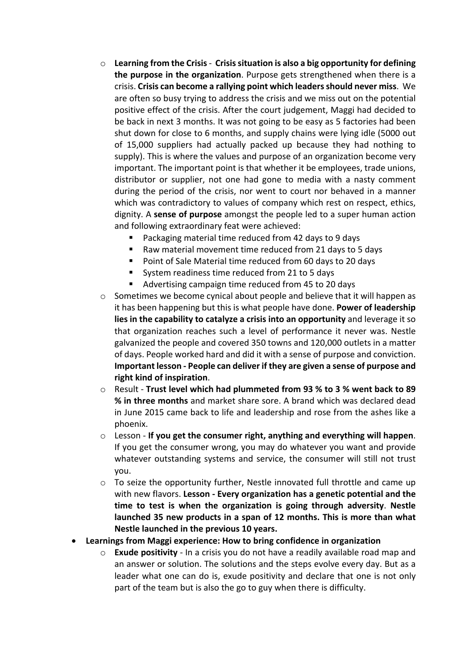- $\circ$  Learning from the Crisis Crisis situation is also a big opportunity for defining **the purpose in the organization**. Purpose gets strengthened when there is a crisis. **Crisis can become a rallying point which leaders should never miss**. We are often so busy trying to address the crisis and we miss out on the potential positive effect of the crisis. After the court judgement, Maggi had decided to be back in next 3 months. It was not going to be easy as 5 factories had been shut down for close to 6 months, and supply chains were lying idle (5000 out of 15,000 suppliers had actually packed up because they had nothing to supply). This is where the values and purpose of an organization become very important. The important point is that whether it be employees, trade unions, distributor or supplier, not one had gone to media with a nasty comment during the period of the crisis, nor went to court nor behaved in a manner which was contradictory to values of company which rest on respect, ethics, dignity. A **sense of purpose** amongst the people led to a super human action and following extraordinary feat were achieved:
	- Packaging material time reduced from 42 days to 9 days
	- Raw material movement time reduced from 21 days to 5 days
	- Point of Sale Material time reduced from 60 days to 20 days
	- System readiness time reduced from 21 to 5 days
	- Advertising campaign time reduced from 45 to 20 days
- $\circ$  Sometimes we become cynical about people and believe that it will happen as it has been happening but this is what people have done. Power of leadership **lies in the capability to catalyze a crisis into an opportunity** and leverage it so that organization reaches such a level of performance it never was. Nestle galvanized the people and covered 350 towns and 120,000 outlets in a matter of days. People worked hard and did it with a sense of purpose and conviction. **Important lesson - People can deliver if they are given a sense of purpose and right kind of inspiration.**
- $\circ$  Result Trust level which had plummeted from 93 % to 3 % went back to 89 **% in three months** and market share sore. A brand which was declared dead in June 2015 came back to life and leadership and rose from the ashes like a phoenix.
- $\circ$  Lesson If you get the consumer right, anything and everything will happen. If you get the consumer wrong, you may do whatever you want and provide whatever outstanding systems and service, the consumer will still not trust you.
- $\circ$  To seize the opportunity further, Nestle innovated full throttle and came up with new flavors. Lesson - Every organization has a genetic potential and the **time to test is when the organization is going through adversity. Nestle** launched 35 new products in a span of 12 months. This is more than what **Nestle launched in the previous 10 years.**
- **Learnings from Maggi experience: How to bring confidence in organization** 
	- $\circ$  **Exude positivity** In a crisis you do not have a readily available road map and an answer or solution. The solutions and the steps evolve every day. But as a leader what one can do is, exude positivity and declare that one is not only part of the team but is also the go to guy when there is difficulty.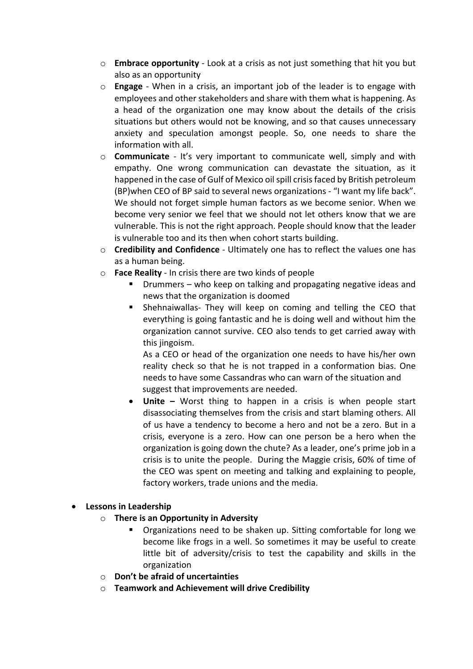- $\circ$  **Embrace opportunity** Look at a crisis as not just something that hit you but also as an opportunity
- $\circ$  **Engage** When in a crisis, an important iob of the leader is to engage with employees and other stakeholders and share with them what is happening. As a head of the organization one may know about the details of the crisis situations but others would not be knowing, and so that causes unnecessary anxiety and speculation amongst people. So, one needs to share the information with all.
- $\circ$  **Communicate** It's very important to communicate well, simply and with empathy. One wrong communication can devastate the situation, as it happened in the case of Gulf of Mexico oil spill crisis faced by British petroleum (BP)when CEO of BP said to several news organizations - "I want my life back". We should not forget simple human factors as we become senior. When we become very senior we feel that we should not let others know that we are vulnerable. This is not the right approach. People should know that the leader is vulnerable too and its then when cohort starts building.
- $\circ$  **Credibility and Confidence** Ultimately one has to reflect the values one has as a human being.
- o **Face Reality** In crisis there are two kinds of people
	- Drummers who keep on talking and propagating negative ideas and news that the organization is doomed
	- **•** Shehnaiwallas- They will keep on coming and telling the CEO that everything is going fantastic and he is doing well and without him the organization cannot survive. CEO also tends to get carried away with this jingoism.

As a CEO or head of the organization one needs to have his/her own reality check so that he is not trapped in a conformation bias. One needs to have some Cassandras who can warn of the situation and suggest that improvements are needed.

• Unite – Worst thing to happen in a crisis is when people start disassociating themselves from the crisis and start blaming others. All of us have a tendency to become a hero and not be a zero. But in a crisis, everyone is a zero. How can one person be a hero when the organization is going down the chute? As a leader, one's prime job in a crisis is to unite the people. During the Maggie crisis, 60% of time of the CEO was spent on meeting and talking and explaining to people, factory workers, trade unions and the media.

## **•** Lessons in Leadership

- $\circ$  **There is an Opportunity in Adversity** 
	- Organizations need to be shaken up. Sitting comfortable for long we become like frogs in a well. So sometimes it may be useful to create little bit of adversity/crisis to test the capability and skills in the organization
- o **Don't be afraid of uncertainties**
- o **Teamwork and Achievement will drive Credibility**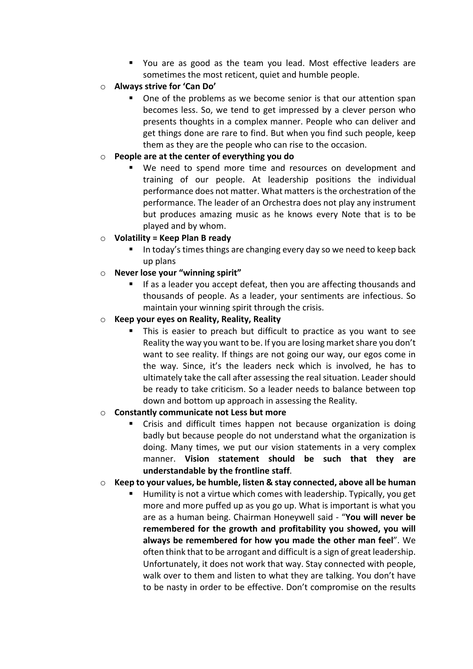- You are as good as the team you lead. Most effective leaders are sometimes the most reticent, quiet and humble people.
- $\circ$  **Always strive for 'Can Do'** 
	- One of the problems as we become senior is that our attention span becomes less. So, we tend to get impressed by a clever person who presents thoughts in a complex manner. People who can deliver and get things done are rare to find. But when you find such people, keep them as they are the people who can rise to the occasion.

# o **People are at the center of everything you do**

- We need to spend more time and resources on development and training of our people. At leadership positions the individual performance does not matter. What matters is the orchestration of the performance. The leader of an Orchestra does not play any instrument but produces amazing music as he knows every Note that is to be played and by whom.
- o **Volatility = Keep Plan B ready**
	- In today's times things are changing every day so we need to keep back up plans
- **O Never lose your "winning spirit"** 
	- If as a leader you accept defeat, then you are affecting thousands and thousands of people. As a leader, your sentiments are infectious. So maintain your winning spirit through the crisis.

## o **Keep your eyes on Reality, Reality, Reality**

This is easier to preach but difficult to practice as you want to see Reality the way you want to be. If you are losing market share you don't want to see reality. If things are not going our way, our egos come in the way. Since, it's the leaders neck which is involved, he has to ultimately take the call after assessing the real situation. Leader should be ready to take criticism. So a leader needs to balance between top down and bottom up approach in assessing the Reality.

## $\circ$  **Constantly communicate not Less but more**

Crisis and difficult times happen not because organization is doing badly but because people do not understand what the organization is doing. Many times, we put our vision statements in a very complex manner. Vision statement should be such that they are **understandable by the frontline staff**. 

## $\circ$  Keep to your values, be humble, listen & stay connected, above all be human

Humility is not a virtue which comes with leadership. Typically, you get more and more puffed up as you go up. What is important is what you are as a human being. Chairman Honeywell said - "You will never be remembered for the growth and profitability you showed, you will always be remembered for how you made the other man feel". We often think that to be arrogant and difficult is a sign of great leadership. Unfortunately, it does not work that way. Stay connected with people, walk over to them and listen to what they are talking. You don't have to be nasty in order to be effective. Don't compromise on the results